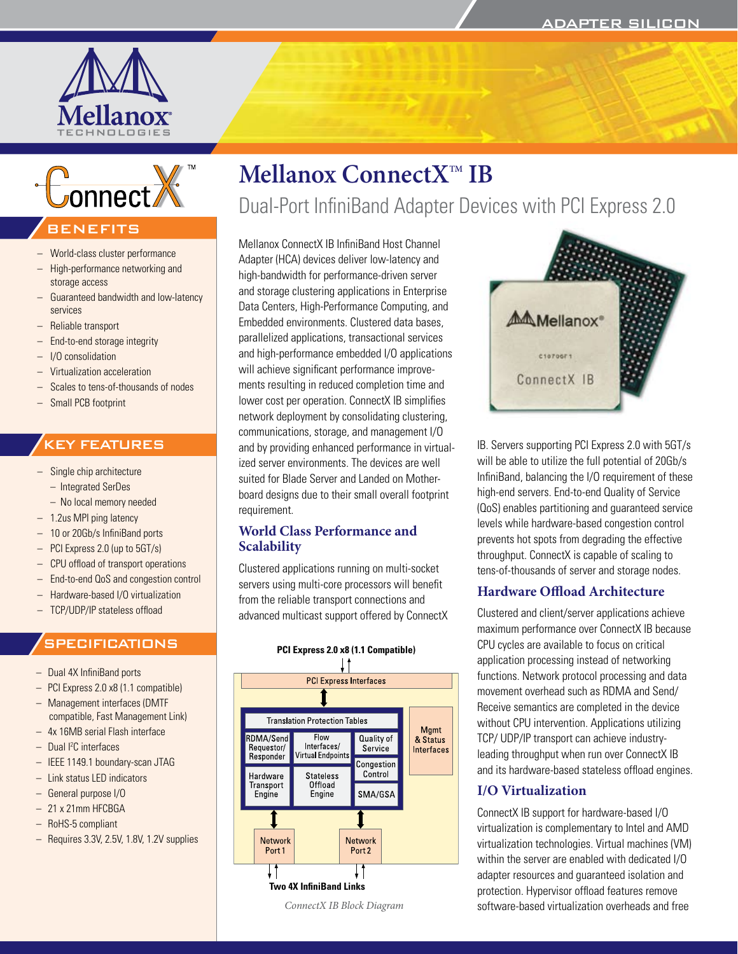



# BENEFITS

- World-class cluster performance
- High-performance networking and storage access
- Guaranteed bandwidth and low-latency services
- Reliable transport
- End-to-end storage integrity
- I/O consolidation
- Virtualization acceleration
- Scales to tens-of-thousands of nodes
- Small PCB footprint

# KEY FEATURES

- Single chip architecture
	- Integrated SerDes
	- No local memory needed
- 1.2us MPI ping latency
- 10 or 20Gb/s InfiniBand ports
- PCI Express 2.0 (up to 5GT/s)
- CPU offload of transport operations
- End-to-end QoS and congestion control
- Hardware-based I/O virtualization
- TCP/UDP/IP stateless offload

# **SPECIFICATIONS**

- Dual 4X InfiniBand ports
- PCI Express 2.0 x8 (1.1 compatible)
- Management interfaces (DMTF compatible, Fast Management Link)
- 4x 16MB serial Flash interface
- Dual I2 C interfaces
- IEEE 1149.1 boundary-scan JTAG
- Link status LED indicators
- General purpose I/O
- 21 x 21mm HFCBGA
- RoHS-5 compliant
- Requires 3.3V, 2.5V, 1.8V, 1.2V supplies

# **Mellanox ConnectXTM IB**

Dual-Port InfiniBand Adapter Devices with PCI Express 2.0

Mellanox ConnectX IB InfiniBand Host Channel Adapter (HCA) devices deliver low-latency and high-bandwidth for performance-driven server and storage clustering applications in Enterprise Data Centers, High-Performance Computing, and Embedded environments. Clustered data bases, parallelized applications, transactional services and high-performance embedded I/O applications will achieve significant performance improvements resulting in reduced completion time and lower cost per operation. ConnectX IB simplifies network deployment by consolidating clustering, communications, storage, and management I/O and by providing enhanced performance in virtualized server environments. The devices are well suited for Blade Server and Landed on Motherboard designs due to their small overall footprint requirement.

# **World Class Performance and Scalability**

Clustered applications running on multi-socket servers using multi-core processors will benefit from the reliable transport connections and advanced multicast support offered by ConnectX



*ConnectX IB Block Diagram*



IB. Servers supporting PCI Express 2.0 with 5GT/s will be able to utilize the full potential of 20Gb/s InfiniBand, balancing the I/O requirement of these high-end servers. End-to-end Quality of Service (QoS) enables partitioning and guaranteed service levels while hardware-based congestion control prevents hot spots from degrading the effective throughput. ConnectX is capable of scaling to tens-of-thousands of server and storage nodes.

# **Hardware Offload Architecture**

Clustered and client/server applications achieve maximum performance over ConnectX IB because CPU cycles are available to focus on critical application processing instead of networking functions. Network protocol processing and data movement overhead such as RDMA and Send/ Receive semantics are completed in the device without CPU intervention. Applications utilizing TCP/ UDP/IP transport can achieve industryleading throughput when run over ConnectX IB and its hardware-based stateless offload engines.

# **I/O Virtualization**

ConnectX IB support for hardware-based I/O virtualization is complementary to Intel and AMD virtualization technologies. Virtual machines (VM) within the server are enabled with dedicated I/O adapter resources and guaranteed isolation and protection. Hypervisor offload features remove software-based virtualization overheads and free